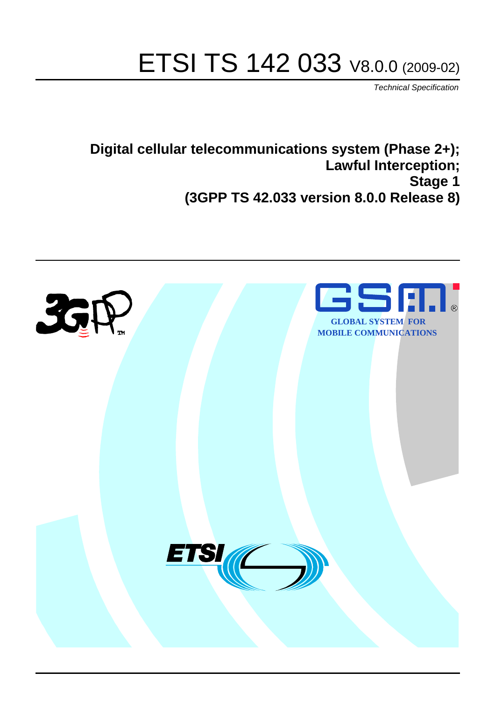# ETSI TS 142 033 V8.0.0 (2009-02)

*Technical Specification*

**Digital cellular telecommunications system (Phase 2+); Lawful Interception; Stage 1 (3GPP TS 42.033 version 8.0.0 Release 8)**

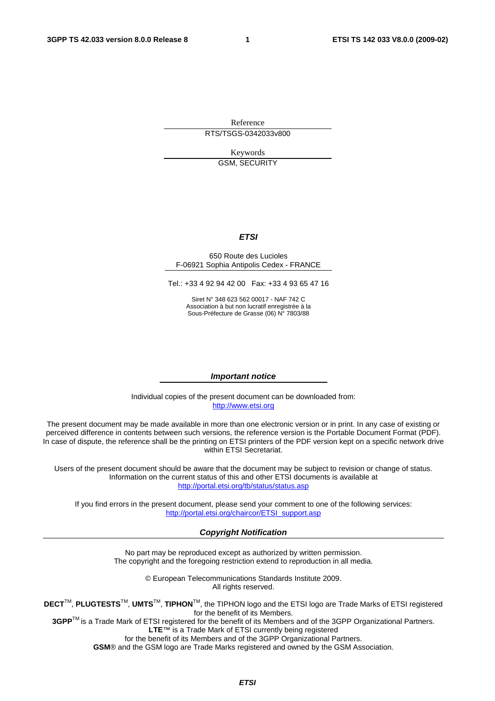Reference RTS/TSGS-0342033v800

> Keywords GSM, SECURITY

#### *ETSI*

#### 650 Route des Lucioles F-06921 Sophia Antipolis Cedex - FRANCE

Tel.: +33 4 92 94 42 00 Fax: +33 4 93 65 47 16

Siret N° 348 623 562 00017 - NAF 742 C Association à but non lucratif enregistrée à la Sous-Préfecture de Grasse (06) N° 7803/88

#### *Important notice*

Individual copies of the present document can be downloaded from: [http://www.etsi.org](http://www.etsi.org/)

The present document may be made available in more than one electronic version or in print. In any case of existing or perceived difference in contents between such versions, the reference version is the Portable Document Format (PDF). In case of dispute, the reference shall be the printing on ETSI printers of the PDF version kept on a specific network drive within ETSI Secretariat.

Users of the present document should be aware that the document may be subject to revision or change of status. Information on the current status of this and other ETSI documents is available at <http://portal.etsi.org/tb/status/status.asp>

If you find errors in the present document, please send your comment to one of the following services: [http://portal.etsi.org/chaircor/ETSI\\_support.asp](http://portal.etsi.org/chaircor/ETSI_support.asp)

#### *Copyright Notification*

No part may be reproduced except as authorized by written permission. The copyright and the foregoing restriction extend to reproduction in all media.

> © European Telecommunications Standards Institute 2009. All rights reserved.

**DECT**TM, **PLUGTESTS**TM, **UMTS**TM, **TIPHON**TM, the TIPHON logo and the ETSI logo are Trade Marks of ETSI registered for the benefit of its Members.

**3GPP**TM is a Trade Mark of ETSI registered for the benefit of its Members and of the 3GPP Organizational Partners. **LTE**™ is a Trade Mark of ETSI currently being registered

for the benefit of its Members and of the 3GPP Organizational Partners.

**GSM**® and the GSM logo are Trade Marks registered and owned by the GSM Association.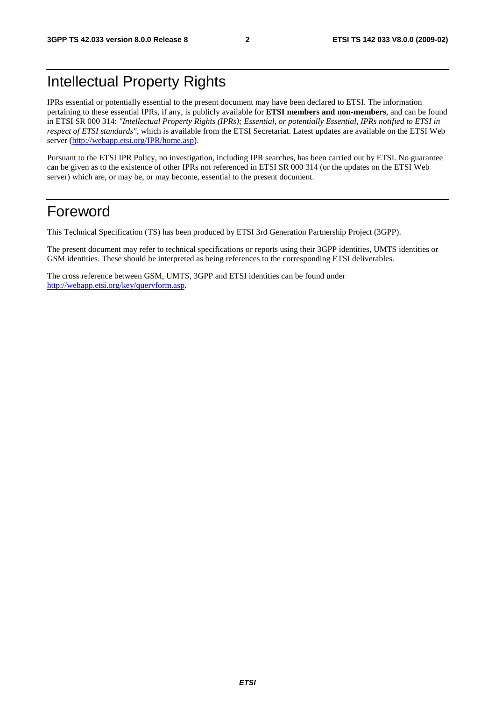# Intellectual Property Rights

IPRs essential or potentially essential to the present document may have been declared to ETSI. The information pertaining to these essential IPRs, if any, is publicly available for **ETSI members and non-members**, and can be found in ETSI SR 000 314: *"Intellectual Property Rights (IPRs); Essential, or potentially Essential, IPRs notified to ETSI in respect of ETSI standards"*, which is available from the ETSI Secretariat. Latest updates are available on the ETSI Web server [\(http://webapp.etsi.org/IPR/home.asp\)](http://webapp.etsi.org/IPR/home.asp).

Pursuant to the ETSI IPR Policy, no investigation, including IPR searches, has been carried out by ETSI. No guarantee can be given as to the existence of other IPRs not referenced in ETSI SR 000 314 (or the updates on the ETSI Web server) which are, or may be, or may become, essential to the present document.

# Foreword

This Technical Specification (TS) has been produced by ETSI 3rd Generation Partnership Project (3GPP).

The present document may refer to technical specifications or reports using their 3GPP identities, UMTS identities or GSM identities. These should be interpreted as being references to the corresponding ETSI deliverables.

The cross reference between GSM, UMTS, 3GPP and ETSI identities can be found under [http://webapp.etsi.org/key/queryform.asp.](http://webapp.etsi.org/key/queryform.asp)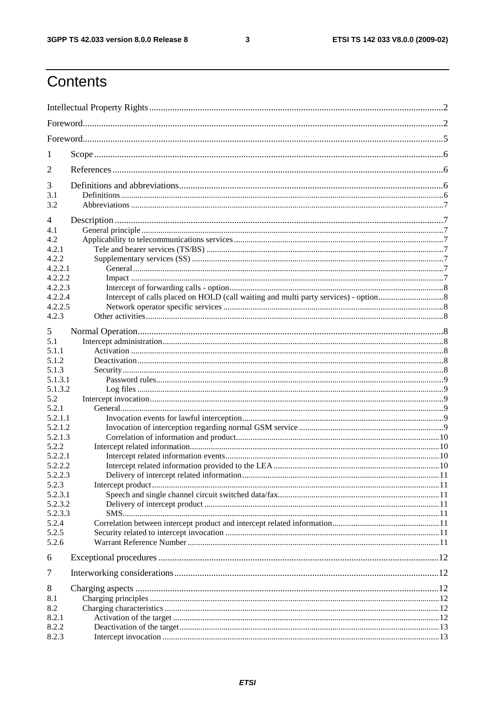#### $\mathbf{3}$

# Contents

| 1                |  |  |  |
|------------------|--|--|--|
| 2                |  |  |  |
| 3                |  |  |  |
| 3.1              |  |  |  |
| 3.2              |  |  |  |
|                  |  |  |  |
| 4<br>4.1         |  |  |  |
| 4.2              |  |  |  |
| 4.2.1            |  |  |  |
| 4.2.2            |  |  |  |
| 4.2.2.1          |  |  |  |
| 4.2.2.2          |  |  |  |
| 4.2.2.3          |  |  |  |
| 4.2.2.4          |  |  |  |
| 4.2.2.5          |  |  |  |
| 4.2.3            |  |  |  |
| 5                |  |  |  |
| 5.1              |  |  |  |
| 5.1.1            |  |  |  |
| 5.1.2            |  |  |  |
| 5.1.3            |  |  |  |
| 5.1.3.1          |  |  |  |
| 5.1.3.2          |  |  |  |
| 5.2              |  |  |  |
| 5.2.1            |  |  |  |
| 5.2.1.1          |  |  |  |
| 5.2.1.2          |  |  |  |
| 5.2.1.3          |  |  |  |
| 5.2.2            |  |  |  |
| 5.2.2.1          |  |  |  |
| 5.2.2.2          |  |  |  |
| 5.2.2.3          |  |  |  |
| 5.2.3            |  |  |  |
| 5.2.3.1          |  |  |  |
| 5.2.3.2          |  |  |  |
| 5.2.3.3<br>5.2.4 |  |  |  |
| 5.2.5            |  |  |  |
| 5.2.6            |  |  |  |
|                  |  |  |  |
| 6                |  |  |  |
| $\overline{7}$   |  |  |  |
| 8                |  |  |  |
| 8.1              |  |  |  |
| 8.2              |  |  |  |
| 8.2.1            |  |  |  |
| 8.2.2            |  |  |  |
| 8.2.3            |  |  |  |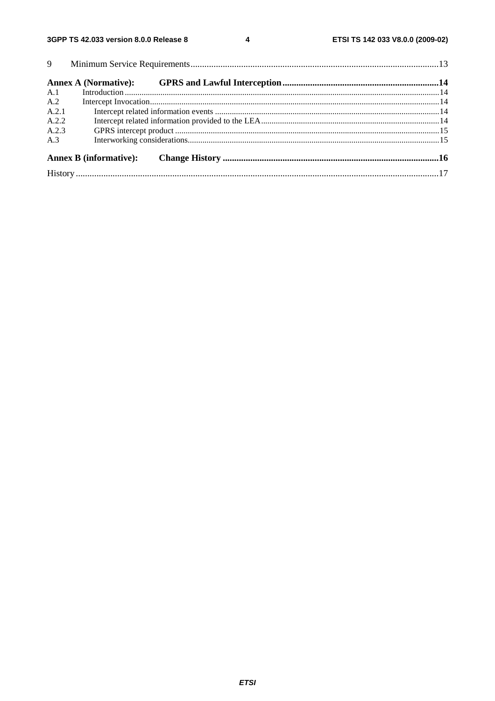$\overline{\mathbf{4}}$ 

| A.1   |  |  |  |  |  |
|-------|--|--|--|--|--|
| A.2   |  |  |  |  |  |
| A.2.1 |  |  |  |  |  |
| A.2.2 |  |  |  |  |  |
| A.2.3 |  |  |  |  |  |
| A.3   |  |  |  |  |  |
|       |  |  |  |  |  |
|       |  |  |  |  |  |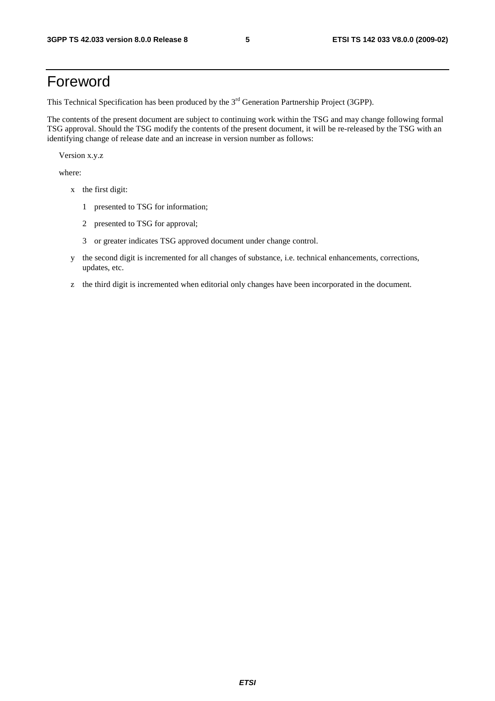# Foreword

This Technical Specification has been produced by the 3<sup>rd</sup> Generation Partnership Project (3GPP).

The contents of the present document are subject to continuing work within the TSG and may change following formal TSG approval. Should the TSG modify the contents of the present document, it will be re-released by the TSG with an identifying change of release date and an increase in version number as follows:

Version x.y.z

where:

- x the first digit:
	- 1 presented to TSG for information;
	- 2 presented to TSG for approval;
	- 3 or greater indicates TSG approved document under change control.
- y the second digit is incremented for all changes of substance, i.e. technical enhancements, corrections, updates, etc.
- z the third digit is incremented when editorial only changes have been incorporated in the document.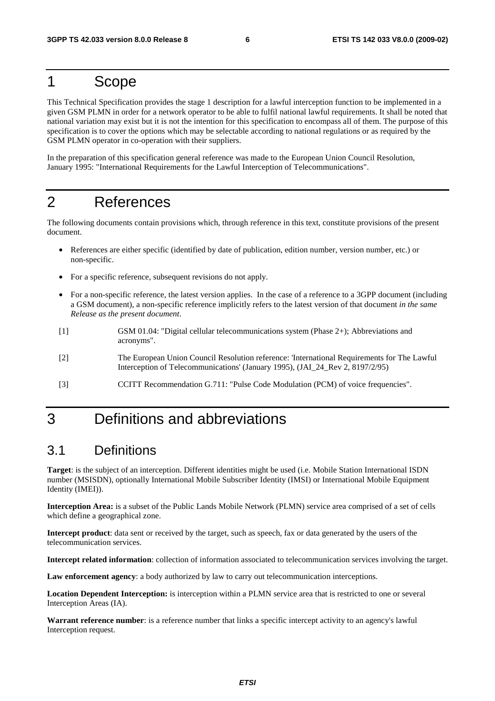# 1 Scope

This Technical Specification provides the stage 1 description for a lawful interception function to be implemented in a given GSM PLMN in order for a network operator to be able to fulfil national lawful requirements. It shall be noted that national variation may exist but it is not the intention for this specification to encompass all of them. The purpose of this specification is to cover the options which may be selectable according to national regulations or as required by the GSM PLMN operator in co-operation with their suppliers.

In the preparation of this specification general reference was made to the European Union Council Resolution, January 1995: "International Requirements for the Lawful Interception of Telecommunications".

# 2 References

The following documents contain provisions which, through reference in this text, constitute provisions of the present document.

- References are either specific (identified by date of publication, edition number, version number, etc.) or non-specific.
- For a specific reference, subsequent revisions do not apply.
- For a non-specific reference, the latest version applies. In the case of a reference to a 3GPP document (including a GSM document), a non-specific reference implicitly refers to the latest version of that document *in the same Release as the present document*.
- [1] GSM 01.04: "Digital cellular telecommunications system (Phase 2+); Abbreviations and acronyms".
- [2] The European Union Council Resolution reference: 'International Requirements for The Lawful Interception of Telecommunications' (January 1995), (JAI\_24\_Rev 2, 8197/2/95)
- [3] CCITT Recommendation G.711: "Pulse Code Modulation (PCM) of voice frequencies".

# 3 Definitions and abbreviations

# 3.1 Definitions

**Target**: is the subject of an interception. Different identities might be used (i.e. Mobile Station International ISDN number (MSISDN), optionally International Mobile Subscriber Identity (IMSI) or International Mobile Equipment Identity (IMEI)).

**Interception Area:** is a subset of the Public Lands Mobile Network (PLMN) service area comprised of a set of cells which define a geographical zone.

**Intercept product**: data sent or received by the target, such as speech, fax or data generated by the users of the telecommunication services.

**Intercept related information**: collection of information associated to telecommunication services involving the target.

**Law enforcement agency**: a body authorized by law to carry out telecommunication interceptions.

**Location Dependent Interception:** is interception within a PLMN service area that is restricted to one or several Interception Areas (IA).

**Warrant reference number**: is a reference number that links a specific intercept activity to an agency's lawful Interception request.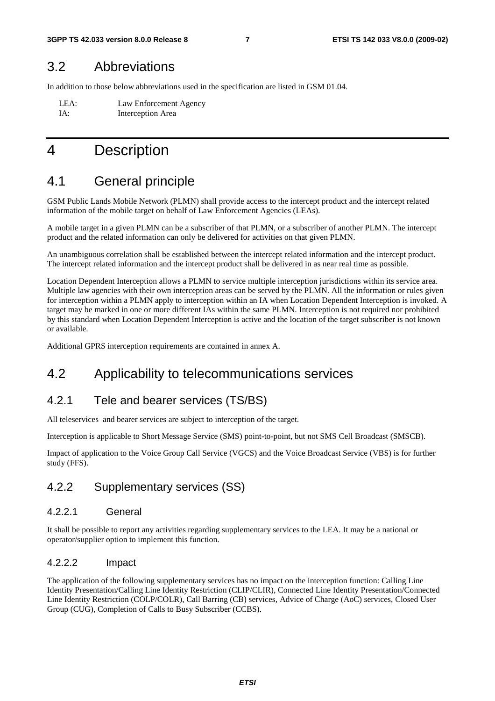### 3.2 Abbreviations

In addition to those below abbreviations used in the specification are listed in GSM 01.04.

LEA: Law Enforcement Agency IA: Interception Area

# 4 Description

# 4.1 General principle

GSM Public Lands Mobile Network (PLMN) shall provide access to the intercept product and the intercept related information of the mobile target on behalf of Law Enforcement Agencies (LEAs).

A mobile target in a given PLMN can be a subscriber of that PLMN, or a subscriber of another PLMN. The intercept product and the related information can only be delivered for activities on that given PLMN.

An unambiguous correlation shall be established between the intercept related information and the intercept product. The intercept related information and the intercept product shall be delivered in as near real time as possible.

Location Dependent Interception allows a PLMN to service multiple interception jurisdictions within its service area. Multiple law agencies with their own interception areas can be served by the PLMN. All the information or rules given for interception within a PLMN apply to interception within an IA when Location Dependent Interception is invoked. A target may be marked in one or more different IAs within the same PLMN. Interception is not required nor prohibited by this standard when Location Dependent Interception is active and the location of the target subscriber is not known or available.

Additional GPRS interception requirements are contained in annex A.

# 4.2 Applicability to telecommunications services

### 4.2.1 Tele and bearer services (TS/BS)

All teleservices and bearer services are subject to interception of the target.

Interception is applicable to Short Message Service (SMS) point-to-point, but not SMS Cell Broadcast (SMSCB).

Impact of application to the Voice Group Call Service (VGCS) and the Voice Broadcast Service (VBS) is for further study (FFS).

### 4.2.2 Supplementary services (SS)

#### 4.2.2.1 General

It shall be possible to report any activities regarding supplementary services to the LEA. It may be a national or operator/supplier option to implement this function.

#### 4.2.2.2 Impact

The application of the following supplementary services has no impact on the interception function: Calling Line Identity Presentation/Calling Line Identity Restriction (CLIP/CLIR), Connected Line Identity Presentation/Connected Line Identity Restriction (COLP/COLR), Call Barring (CB) services, Advice of Charge (AoC) services, Closed User Group (CUG), Completion of Calls to Busy Subscriber (CCBS).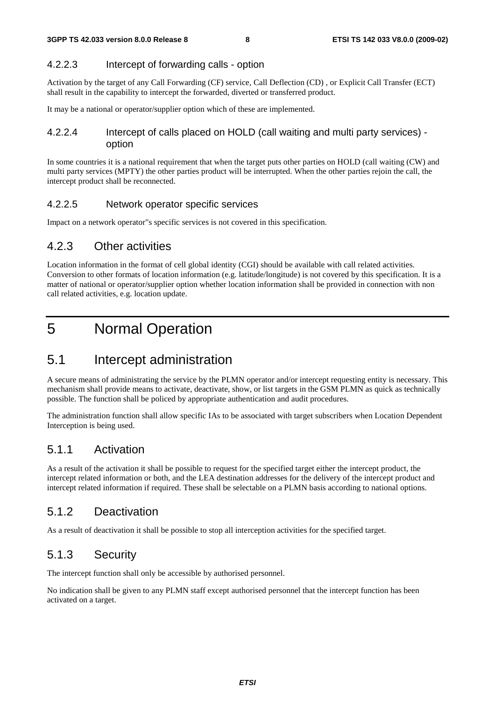#### 4.2.2.3 Intercept of forwarding calls - option

Activation by the target of any Call Forwarding (CF) service, Call Deflection (CD) , or Explicit Call Transfer (ECT) shall result in the capability to intercept the forwarded, diverted or transferred product.

It may be a national or operator/supplier option which of these are implemented.

#### 4.2.2.4 Intercept of calls placed on HOLD (call waiting and multi party services) option

In some countries it is a national requirement that when the target puts other parties on HOLD (call waiting (CW) and multi party services (MPTY) the other parties product will be interrupted. When the other parties rejoin the call, the intercept product shall be reconnected.

#### 4.2.2.5 Network operator specific services

Impact on a network operator"s specific services is not covered in this specification.

### 4.2.3 Other activities

Location information in the format of cell global identity (CGI) should be available with call related activities. Conversion to other formats of location information (e.g. latitude/longitude) is not covered by this specification. It is a matter of national or operator/supplier option whether location information shall be provided in connection with non call related activities, e.g. location update.

# 5 Normal Operation

# 5.1 Intercept administration

A secure means of administrating the service by the PLMN operator and/or intercept requesting entity is necessary. This mechanism shall provide means to activate, deactivate, show, or list targets in the GSM PLMN as quick as technically possible. The function shall be policed by appropriate authentication and audit procedures.

The administration function shall allow specific IAs to be associated with target subscribers when Location Dependent Interception is being used.

### 5.1.1 Activation

As a result of the activation it shall be possible to request for the specified target either the intercept product, the intercept related information or both, and the LEA destination addresses for the delivery of the intercept product and intercept related information if required. These shall be selectable on a PLMN basis according to national options.

### 5.1.2 Deactivation

As a result of deactivation it shall be possible to stop all interception activities for the specified target.

### 5.1.3 Security

The intercept function shall only be accessible by authorised personnel.

No indication shall be given to any PLMN staff except authorised personnel that the intercept function has been activated on a target.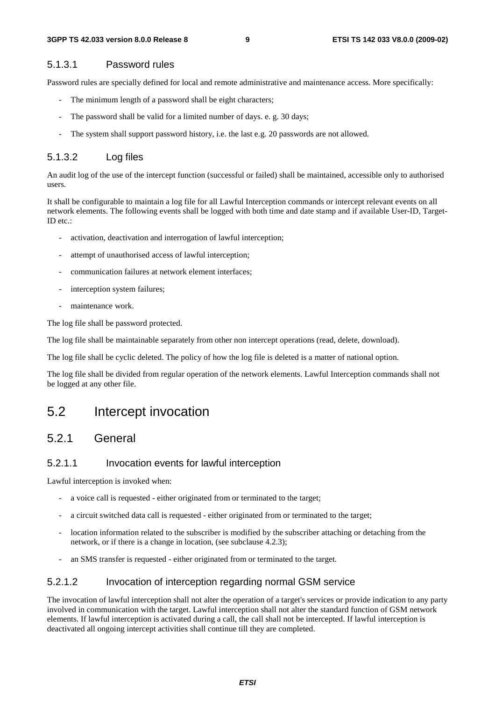#### 5.1.3.1 Password rules

Password rules are specially defined for local and remote administrative and maintenance access. More specifically:

- The minimum length of a password shall be eight characters;
- The password shall be valid for a limited number of days. e. g. 30 days;
- The system shall support password history, i.e. the last e.g. 20 passwords are not allowed.

#### 5.1.3.2 Log files

An audit log of the use of the intercept function (successful or failed) shall be maintained, accessible only to authorised users.

It shall be configurable to maintain a log file for all Lawful Interception commands or intercept relevant events on all network elements. The following events shall be logged with both time and date stamp and if available User-ID, Target-ID etc.:

- activation, deactivation and interrogation of lawful interception;
- attempt of unauthorised access of lawful interception;
- communication failures at network element interfaces;
- interception system failures:
- maintenance work.

The log file shall be password protected.

The log file shall be maintainable separately from other non intercept operations (read, delete, download).

The log file shall be cyclic deleted. The policy of how the log file is deleted is a matter of national option.

The log file shall be divided from regular operation of the network elements. Lawful Interception commands shall not be logged at any other file.

# 5.2 Intercept invocation

#### 5.2.1 General

#### 5.2.1.1 Invocation events for lawful interception

Lawful interception is invoked when:

- a voice call is requested either originated from or terminated to the target;
- a circuit switched data call is requested either originated from or terminated to the target;
- location information related to the subscriber is modified by the subscriber attaching or detaching from the network, or if there is a change in location, (see subclause 4.2.3);
- an SMS transfer is requested either originated from or terminated to the target.

#### 5.2.1.2 Invocation of interception regarding normal GSM service

The invocation of lawful interception shall not alter the operation of a target's services or provide indication to any party involved in communication with the target. Lawful interception shall not alter the standard function of GSM network elements. If lawful interception is activated during a call, the call shall not be intercepted. If lawful interception is deactivated all ongoing intercept activities shall continue till they are completed.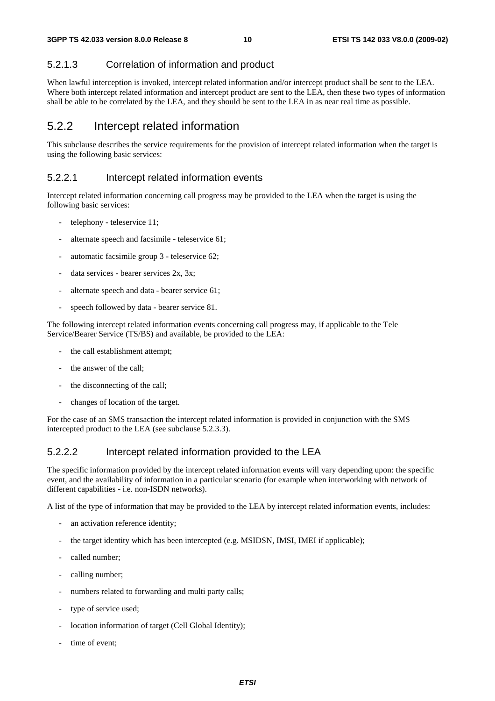#### 5.2.1.3 Correlation of information and product

When lawful interception is invoked, intercept related information and/or intercept product shall be sent to the LEA. Where both intercept related information and intercept product are sent to the LEA, then these two types of information shall be able to be correlated by the LEA, and they should be sent to the LEA in as near real time as possible.

### 5.2.2 Intercept related information

This subclause describes the service requirements for the provision of intercept related information when the target is using the following basic services:

#### 5.2.2.1 Intercept related information events

Intercept related information concerning call progress may be provided to the LEA when the target is using the following basic services:

- telephony teleservice 11;
- alternate speech and facsimile teleservice 61;
- automatic facsimile group 3 teleservice 62;
- data services bearer services 2x, 3x;
- alternate speech and data bearer service 61;
- speech followed by data bearer service 81.

The following intercept related information events concerning call progress may, if applicable to the Tele Service/Bearer Service (TS/BS) and available, be provided to the LEA:

- the call establishment attempt;
- the answer of the call;
- the disconnecting of the call;
- changes of location of the target.

For the case of an SMS transaction the intercept related information is provided in conjunction with the SMS intercepted product to the LEA (see subclause 5.2.3.3).

#### 5.2.2.2 Intercept related information provided to the LEA

The specific information provided by the intercept related information events will vary depending upon: the specific event, and the availability of information in a particular scenario (for example when interworking with network of different capabilities - i.e. non-ISDN networks).

A list of the type of information that may be provided to the LEA by intercept related information events, includes:

- an activation reference identity;
- the target identity which has been intercepted (e.g. MSIDSN, IMSI, IMEI if applicable);
- called number;
- calling number;
- numbers related to forwarding and multi party calls;
- type of service used:
- location information of target (Cell Global Identity);
- time of event;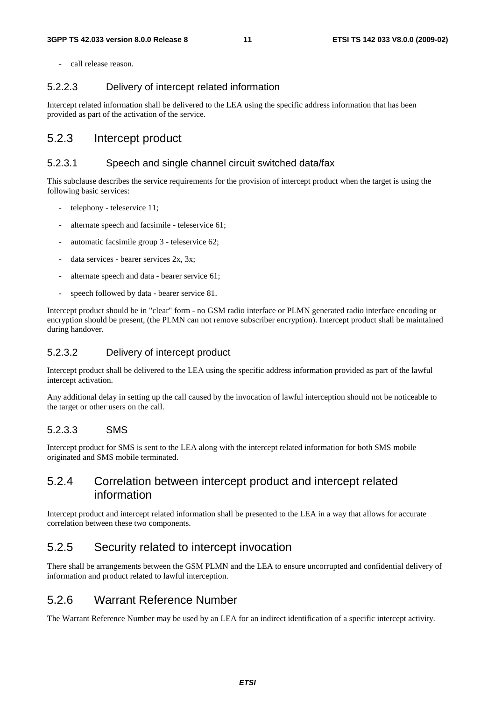- call release reason.

#### 5.2.2.3 Delivery of intercept related information

Intercept related information shall be delivered to the LEA using the specific address information that has been provided as part of the activation of the service.

#### 5.2.3 Intercept product

#### 5.2.3.1 Speech and single channel circuit switched data/fax

This subclause describes the service requirements for the provision of intercept product when the target is using the following basic services:

- telephony teleservice 11;
- alternate speech and facsimile teleservice 61;
- automatic facsimile group 3 teleservice 62;
- data services bearer services 2x, 3x;
- alternate speech and data bearer service 61;
- speech followed by data bearer service 81.

Intercept product should be in "clear" form - no GSM radio interface or PLMN generated radio interface encoding or encryption should be present, (the PLMN can not remove subscriber encryption). Intercept product shall be maintained during handover.

#### 5.2.3.2 Delivery of intercept product

Intercept product shall be delivered to the LEA using the specific address information provided as part of the lawful intercept activation.

Any additional delay in setting up the call caused by the invocation of lawful interception should not be noticeable to the target or other users on the call.

#### 5.2.3.3 SMS

Intercept product for SMS is sent to the LEA along with the intercept related information for both SMS mobile originated and SMS mobile terminated.

#### 5.2.4 Correlation between intercept product and intercept related information

Intercept product and intercept related information shall be presented to the LEA in a way that allows for accurate correlation between these two components.

### 5.2.5 Security related to intercept invocation

There shall be arrangements between the GSM PLMN and the LEA to ensure uncorrupted and confidential delivery of information and product related to lawful interception.

### 5.2.6 Warrant Reference Number

The Warrant Reference Number may be used by an LEA for an indirect identification of a specific intercept activity.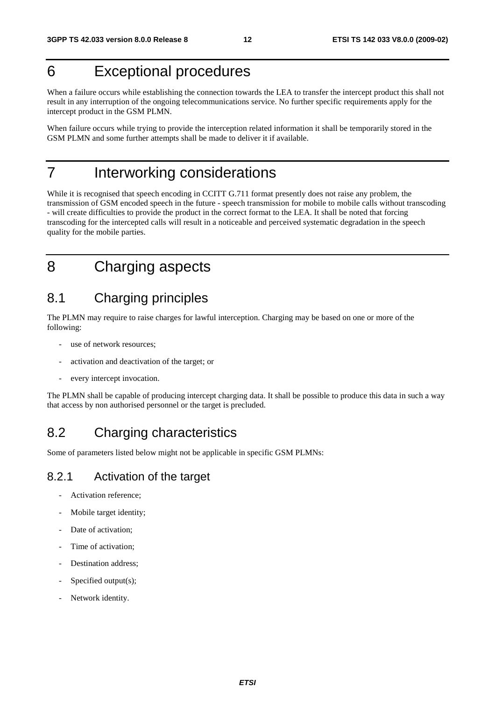# 6 Exceptional procedures

When a failure occurs while establishing the connection towards the LEA to transfer the intercept product this shall not result in any interruption of the ongoing telecommunications service. No further specific requirements apply for the intercept product in the GSM PLMN.

When failure occurs while trying to provide the interception related information it shall be temporarily stored in the GSM PLMN and some further attempts shall be made to deliver it if available.

# 7 Interworking considerations

While it is recognised that speech encoding in CCITT G.711 format presently does not raise any problem, the transmission of GSM encoded speech in the future - speech transmission for mobile to mobile calls without transcoding - will create difficulties to provide the product in the correct format to the LEA. It shall be noted that forcing transcoding for the intercepted calls will result in a noticeable and perceived systematic degradation in the speech quality for the mobile parties.

# 8 Charging aspects

# 8.1 Charging principles

The PLMN may require to raise charges for lawful interception. Charging may be based on one or more of the following:

- use of network resources:
- activation and deactivation of the target; or
- every intercept invocation.

The PLMN shall be capable of producing intercept charging data. It shall be possible to produce this data in such a way that access by non authorised personnel or the target is precluded.

# 8.2 Charging characteristics

Some of parameters listed below might not be applicable in specific GSM PLMNs:

### 8.2.1 Activation of the target

- Activation reference;
- Mobile target identity;
- Date of activation;
- Time of activation;
- Destination address:
- Specified output(s);
- Network identity.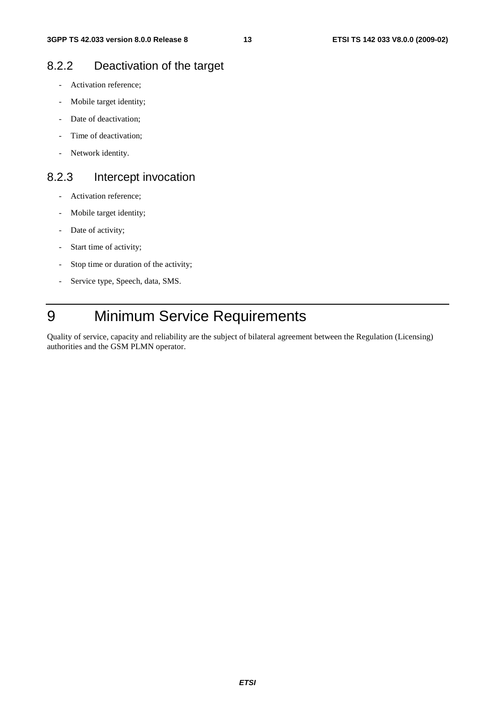# 8.2.2 Deactivation of the target

- Activation reference;
- Mobile target identity;
- Date of deactivation;
- Time of deactivation;
- Network identity.

### 8.2.3 Intercept invocation

- Activation reference;
- Mobile target identity;
- Date of activity;
- Start time of activity;
- Stop time or duration of the activity;
- Service type, Speech, data, SMS.

# 9 Minimum Service Requirements

Quality of service, capacity and reliability are the subject of bilateral agreement between the Regulation (Licensing) authorities and the GSM PLMN operator.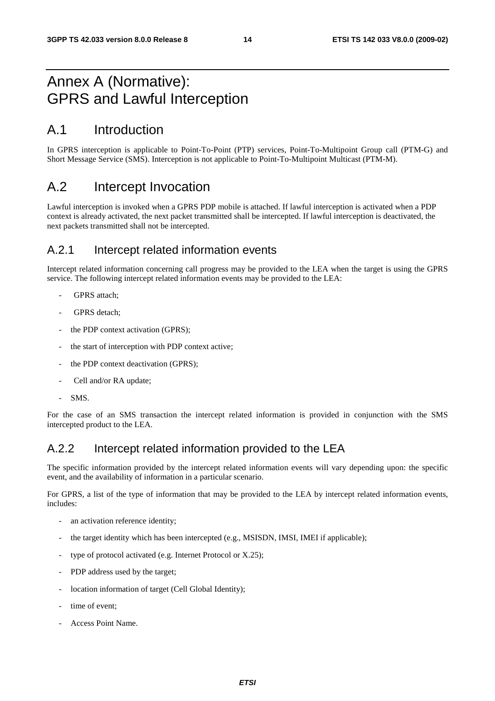# Annex A (Normative): GPRS and Lawful Interception

# A.1 Introduction

In GPRS interception is applicable to Point-To-Point (PTP) services, Point-To-Multipoint Group call (PTM-G) and Short Message Service (SMS). Interception is not applicable to Point-To-Multipoint Multicast (PTM-M).

# A.2 Intercept Invocation

Lawful interception is invoked when a GPRS PDP mobile is attached. If lawful interception is activated when a PDP context is already activated, the next packet transmitted shall be intercepted. If lawful interception is deactivated, the next packets transmitted shall not be intercepted.

### A.2.1 Intercept related information events

Intercept related information concerning call progress may be provided to the LEA when the target is using the GPRS service. The following intercept related information events may be provided to the LEA:

- GPRS attach;
- GPRS detach;
- the PDP context activation (GPRS);
- the start of interception with PDP context active;
- the PDP context deactivation (GPRS);
- Cell and/or RA update:
- SMS.

For the case of an SMS transaction the intercept related information is provided in conjunction with the SMS intercepted product to the LEA.

# A.2.2 Intercept related information provided to the LEA

The specific information provided by the intercept related information events will vary depending upon: the specific event, and the availability of information in a particular scenario.

For GPRS, a list of the type of information that may be provided to the LEA by intercept related information events, includes:

- an activation reference identity;
- the target identity which has been intercepted (e.g., MSISDN, IMSI, IMEI if applicable);
- type of protocol activated (e.g. Internet Protocol or  $X.25$ );
- PDP address used by the target;
- location information of target (Cell Global Identity);
- time of event:
- Access Point Name.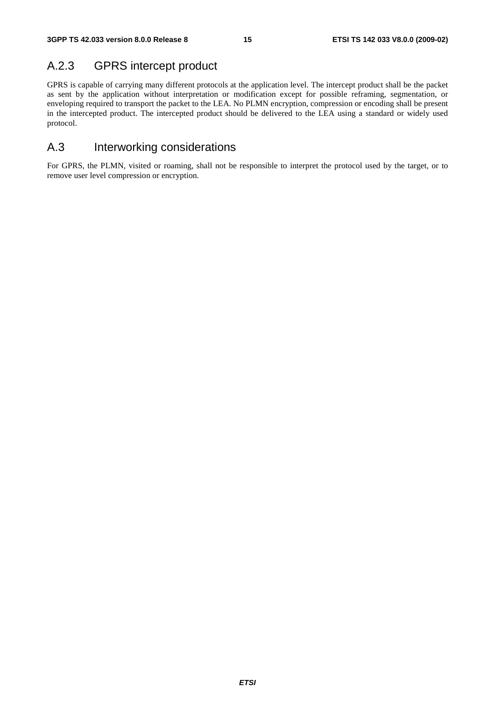# A.2.3 GPRS intercept product

GPRS is capable of carrying many different protocols at the application level. The intercept product shall be the packet as sent by the application without interpretation or modification except for possible reframing, segmentation, or enveloping required to transport the packet to the LEA. No PLMN encryption, compression or encoding shall be present in the intercepted product. The intercepted product should be delivered to the LEA using a standard or widely used protocol.

### A.3 Interworking considerations

For GPRS, the PLMN, visited or roaming, shall not be responsible to interpret the protocol used by the target, or to remove user level compression or encryption.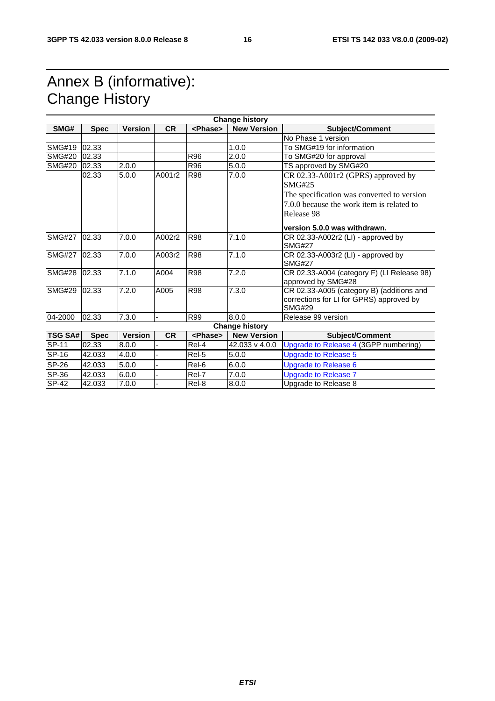# Annex B (informative): Change History

| <b>Change history</b> |             |                |           |                 |                       |                                                           |
|-----------------------|-------------|----------------|-----------|-----------------|-----------------------|-----------------------------------------------------------|
| SMG#                  | <b>Spec</b> | <b>Version</b> | <b>CR</b> | <phase></phase> | <b>New Version</b>    | <b>Subject/Comment</b>                                    |
|                       |             |                |           |                 |                       | No Phase 1 version                                        |
| <b>SMG#19</b>         | 02.33       |                |           |                 | 1.0.0                 | To SMG#19 for information                                 |
| <b>SMG#20</b>         | 02.33       |                |           | R96             | 2.0.0                 | To SMG#20 for approval                                    |
| <b>SMG#20</b>         | 02.33       | 2.0.0          |           | R96             | 5.0.0                 | TS approved by SMG#20                                     |
|                       | 02.33       | 5.0.0          | A001r2    | <b>R98</b>      | 7.0.0                 | CR 02.33-A001r2 (GPRS) approved by                        |
|                       |             |                |           |                 |                       | SMG#25                                                    |
|                       |             |                |           |                 |                       | The specification was converted to version                |
|                       |             |                |           |                 |                       | 7.0.0 because the work item is related to                 |
|                       |             |                |           |                 |                       | Release 98                                                |
|                       |             |                |           |                 |                       | version 5.0.0 was withdrawn.                              |
| <b>SMG#27</b>         | 02.33       | 7.0.0          | A002r2    | <b>R98</b>      | 7.1.0                 | CR 02.33-A002r2 (LI) - approved by                        |
|                       |             |                |           |                 |                       | <b>SMG#27</b>                                             |
| <b>SMG#27</b>         | 02.33       | 7.0.0          | A003r2    | <b>R98</b>      | 7.1.0                 | CR 02.33-A003r2 (LI) - approved by<br><b>SMG#27</b>       |
| <b>SMG#28</b>         | 02.33       | 7.1.0          | A004      | <b>R98</b>      | 7.2.0                 | CR 02.33-A004 (category F) (LI Release 98)                |
|                       |             |                |           |                 |                       | approved by SMG#28                                        |
| <b>SMG#29</b>         | 02.33       | 7.2.0          | A005      | <b>R98</b>      | 7.3.0                 | CR 02.33-A005 (category B) (additions and                 |
|                       |             |                |           |                 |                       | corrections for LI for GPRS) approved by<br><b>SMG#29</b> |
| 04-2000               | 02.33       | 7.3.0          |           | R99             | 8.0.0                 | Release 99 version                                        |
|                       |             |                |           |                 | <b>Change history</b> |                                                           |
| <b>TSG SA#</b>        | <b>Spec</b> | <b>Version</b> | <b>CR</b> | <phase></phase> | <b>New Version</b>    | <b>Subject/Comment</b>                                    |
| <b>SP-11</b>          | 02.33       | 8.0.0          |           | Rel-4           | 42.033 v 4.0.0        | Upgrade to Release 4 (3GPP numbering)                     |
| SP-16                 | 42.033      | 4.0.0          |           | Rel-5           | 5.0.0                 | <b>Upgrade to Release 5</b>                               |
| <b>SP-26</b>          | 42.033      | 5.0.0          |           | Rel-6           | 6.0.0                 | <b>Upgrade to Release 6</b>                               |
| SP-36                 | 42.033      | 6.0.0          |           | Rel-7           | 7.0.0                 | Upgrade to Release 7                                      |
| <b>SP-42</b>          | 42.033      | 7.0.0          |           | Rel-8           | 8.0.0                 | Upgrade to Release 8                                      |